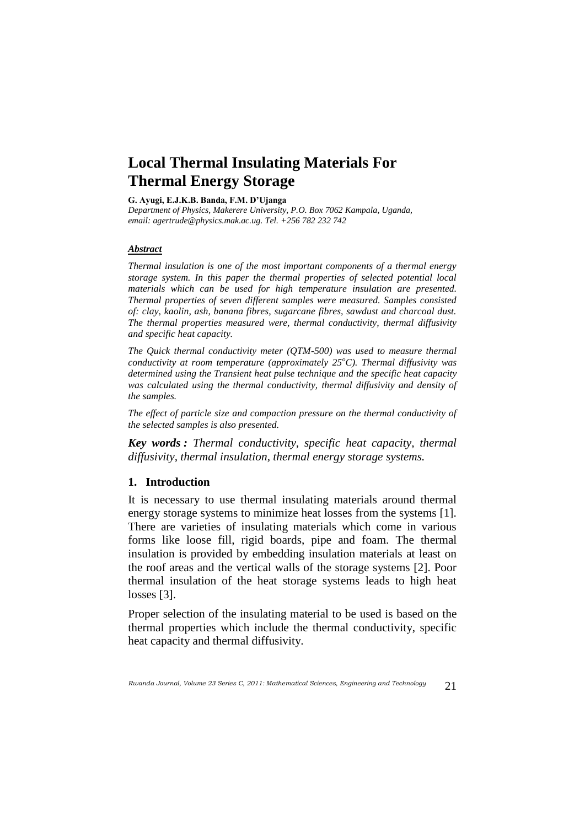# **Local Thermal Insulating Materials For Thermal Energy Storage**

#### **G. Ayugi, E.J.K.B. Banda, F.M. D'Ujanga**

*Department of Physics, Makerere University, P.O. Box 7062 Kampala, Uganda, email[: agertrude@physics.mak.ac.ug.](mailto:agertrude@physics.mak.ac.ug) Tel. +256 782 232 742*

#### *Abstract*

*Thermal insulation is one of the most important components of a thermal energy storage system. In this paper the thermal properties of selected potential local materials which can be used for high temperature insulation are presented. Thermal properties of seven different samples were measured. Samples consisted of: clay, kaolin, ash, banana fibres, sugarcane fibres, sawdust and charcoal dust. The thermal properties measured were, thermal conductivity, thermal diffusivity and specific heat capacity.* 

*The Quick thermal conductivity meter (QTM-500) was used to measure thermal conductivity at room temperature (approximately 25<sup>o</sup>C). Thermal diffusivity was determined using the Transient heat pulse technique and the specific heat capacity was calculated using the thermal conductivity, thermal diffusivity and density of the samples.*

*The effect of particle size and compaction pressure on the thermal conductivity of the selected samples is also presented.*

*Key words : Thermal conductivity, specific heat capacity, thermal diffusivity, thermal insulation, thermal energy storage systems.*

#### **1. Introduction**

It is necessary to use thermal insulating materials around thermal energy storage systems to minimize heat losses from the systems [1]. There are varieties of insulating materials which come in various forms like loose fill, rigid boards, pipe and foam. The thermal insulation is provided by embedding insulation materials at least on the roof areas and the vertical walls of the storage systems [2]. Poor thermal insulation of the heat storage systems leads to high heat losses [3].

Proper selection of the insulating material to be used is based on the thermal properties which include the thermal conductivity, specific heat capacity and thermal diffusivity.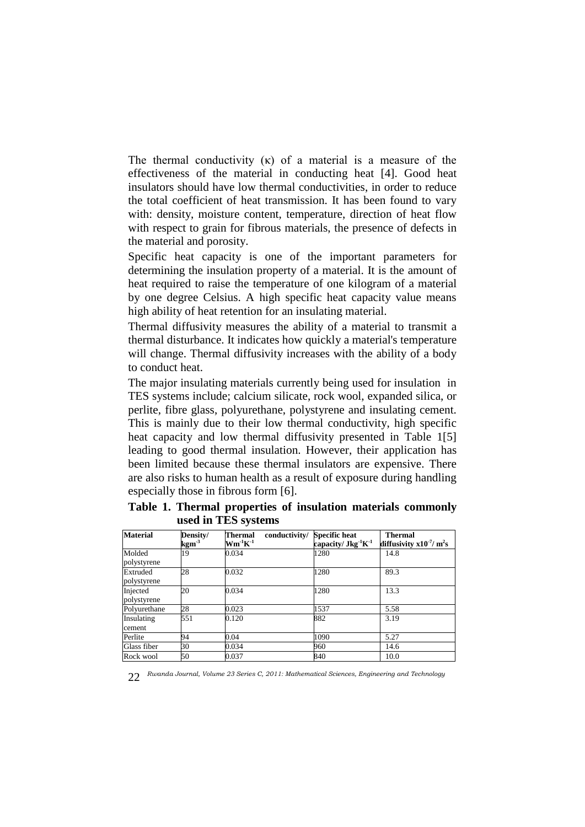The thermal conductivity  $(\kappa)$  of a material is a measure of the effectiveness of the material in conducting heat [4]. Good heat insulators should have low thermal conductivities, in order to reduce the total coefficient of heat transmission. It has been found to vary with: density, moisture content, temperature, direction of heat flow with respect to grain for fibrous materials, the presence of defects in the material and porosity.

Specific heat capacity is one of the important parameters for determining the insulation property of a material. It is the amount of heat required to raise the temperature of one kilogram of a material by one degree Celsius. A high specific heat capacity value means high ability of heat retention for an insulating material.

Thermal diffusivity measures the ability of a material to transmit a thermal disturbance. It indicates how quickly a material's temperature will change. Thermal diffusivity increases with the ability of a body to conduct heat.

The major insulating materials currently being used for insulation in TES systems include; calcium silicate, rock wool, expanded silica, or perlite, fibre glass, polyurethane, polystyrene and insulating cement. This is mainly due to their low thermal conductivity, high specific heat capacity and low thermal diffusivity presented in Table 1[5] leading to good thermal insulation. However, their application has been limited because these thermal insulators are expensive. There are also risks to human health as a result of exposure during handling especially those in fibrous form [6].

| <b>Material</b>         | Density/<br>$\mathrm{kgm}^3$ | conductivity/<br>Thermal<br>$\textbf{Wm}^{\text{-1}}\textbf{K}^{\text{-1}}$ | <b>Specific heat</b><br>capacity/ $Jkg^{-1}K^{-1}$ | <b>Thermal</b><br>diffusivity $x10^{-7}/m^2$ s |
|-------------------------|------------------------------|-----------------------------------------------------------------------------|----------------------------------------------------|------------------------------------------------|
| Molded<br>polystyrene   | 19                           | 0.034                                                                       | 1280                                               | 14.8                                           |
| Extruded<br>polystyrene | 28                           | 0.032                                                                       | 1280                                               | 89.3                                           |
| Injected<br>polystyrene | 20                           | 0.034                                                                       | 1280                                               | 13.3                                           |
| Polyurethane            | 28                           | 0.023                                                                       | 1537                                               | 5.58                                           |
| Insulating<br>cement    | 551                          | 0.120                                                                       | 882                                                | 3.19                                           |
| Perlite                 | 94                           | 0.04                                                                        | 1090                                               | 5.27                                           |
| Glass fiber             | 30                           | 0.034                                                                       | 960                                                | 14.6                                           |
| Rock wool               | 50                           | 0.037                                                                       | 840                                                | 10.0                                           |

**Table 1. Thermal properties of insulation materials commonly used in TES systems**

 *Rwanda Journal, Volume 23 Series C, 2011: Mathematical Sciences, Engineering and Technology* 22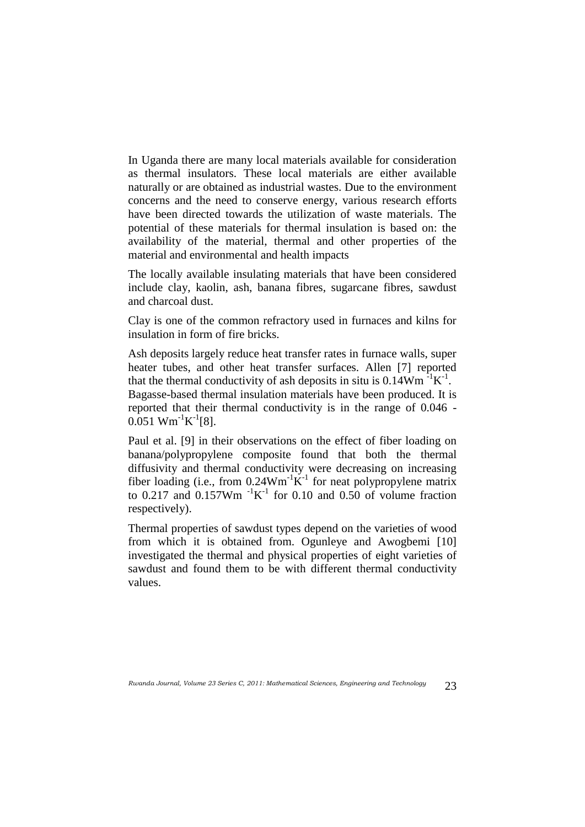In Uganda there are many local materials available for consideration as thermal insulators. These local materials are either available naturally or are obtained as industrial wastes. Due to the environment concerns and the need to conserve energy, various research efforts have been directed towards the utilization of waste materials. The potential of these materials for thermal insulation is based on: the availability of the material, thermal and other properties of the material and environmental and health impacts

The locally available insulating materials that have been considered include clay, kaolin, ash, banana fibres, sugarcane fibres, sawdust and charcoal dust.

Clay is one of the common refractory used in furnaces and kilns for insulation in form of fire bricks.

Ash deposits largely reduce heat transfer rates in furnace walls, super heater tubes, and other heat transfer surfaces. Allen [7] reported that the thermal conductivity of ash deposits in situ is  $0.14 \text{Wm}^{-1} \text{K}^{-1}$ . Bagasse-based thermal insulation materials have been produced. It is reported that their thermal conductivity is in the range of 0.046 -  $0.051 \text{ Wm}^{-1}\text{K}^{-1}[8]$ .

Paul et al. [9] in their observations on the effect of fiber loading on banana/polypropylene composite found that both the thermal diffusivity and thermal conductivity were decreasing on increasing fiber loading (i.e., from  $0.24 \text{Wm}^{-1} \text{K}^{-1}$  for neat polypropylene matrix to 0.217 and 0.157Wm  $^{-1}$ K<sup>-1</sup> for 0.10 and 0.50 of volume fraction respectively).

Thermal properties of sawdust types depend on the varieties of wood from which it is obtained from. Ogunleye and Awogbemi [10] investigated the thermal and physical properties of eight varieties of sawdust and found them to be with different thermal conductivity values.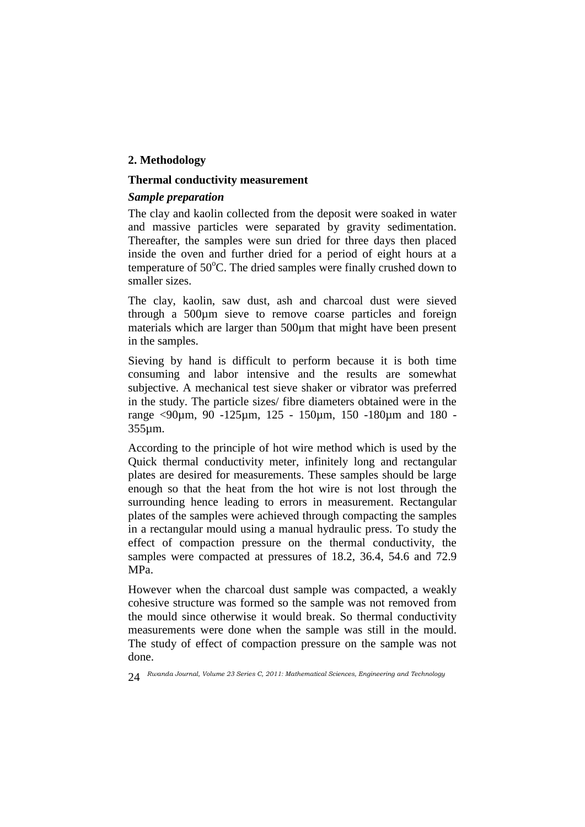# **2. Methodology**

### **Thermal conductivity measurement**

### *Sample preparation*

The clay and kaolin collected from the deposit were soaked in water and massive particles were separated by gravity sedimentation. Thereafter, the samples were sun dried for three days then placed inside the oven and further dried for a period of eight hours at a temperature of 50°C. The dried samples were finally crushed down to smaller sizes.

The clay, kaolin, saw dust, ash and charcoal dust were sieved through a 500µm sieve to remove coarse particles and foreign materials which are larger than 500µm that might have been present in the samples.

Sieving by hand is difficult to perform because it is both time consuming and labor intensive and the results are somewhat subjective. A mechanical test sieve shaker or vibrator was preferred in the study. The particle sizes/ fibre diameters obtained were in the range <90µm, 90 -125µm, 125 - 150µm, 150 -180µm and 180 - 355µm.

According to the principle of hot wire method which is used by the Quick thermal conductivity meter, infinitely long and rectangular plates are desired for measurements. These samples should be large enough so that the heat from the hot wire is not lost through the surrounding hence leading to errors in measurement. Rectangular plates of the samples were achieved through compacting the samples in a rectangular mould using a manual hydraulic press. To study the effect of compaction pressure on the thermal conductivity, the samples were compacted at pressures of 18.2, 36.4, 54.6 and 72.9 MPa.

However when the charcoal dust sample was compacted, a weakly cohesive structure was formed so the sample was not removed from the mould since otherwise it would break. So thermal conductivity measurements were done when the sample was still in the mould. The study of effect of compaction pressure on the sample was not done.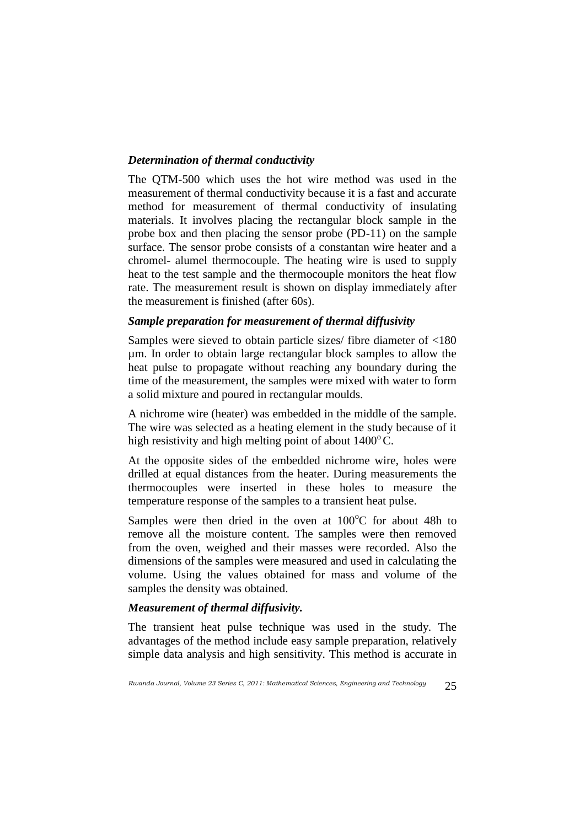# *Determination of thermal conductivity*

The QTM-500 which uses the hot wire method was used in the measurement of thermal conductivity because it is a fast and accurate method for measurement of thermal conductivity of insulating materials. It involves placing the rectangular block sample in the probe box and then placing the sensor probe (PD-11) on the sample surface. The sensor probe consists of a constantan wire heater and a chromel- alumel thermocouple. The heating wire is used to supply heat to the test sample and the thermocouple monitors the heat flow rate. The measurement result is shown on display immediately after the measurement is finished (after 60s).

# *Sample preparation for measurement of thermal diffusivity*

Samples were sieved to obtain particle sizes/ fibre diameter of <180 µm. In order to obtain large rectangular block samples to allow the heat pulse to propagate without reaching any boundary during the time of the measurement, the samples were mixed with water to form a solid mixture and poured in rectangular moulds.

A nichrome wire (heater) was embedded in the middle of the sample. The wire was selected as a heating element in the study because of it high resistivity and high melting point of about  $1400^{\circ}$ C.

At the opposite sides of the embedded nichrome wire, holes were drilled at equal distances from the heater. During measurements the thermocouples were inserted in these holes to measure the temperature response of the samples to a transient heat pulse.

Samples were then dried in the oven at  $100^{\circ}$ C for about 48h to remove all the moisture content. The samples were then removed from the oven, weighed and their masses were recorded. Also the dimensions of the samples were measured and used in calculating the volume. Using the values obtained for mass and volume of the samples the density was obtained.

# *Measurement of thermal diffusivity.*

The transient heat pulse technique was used in the study. The advantages of the method include easy sample preparation, relatively simple data analysis and high sensitivity. This method is accurate in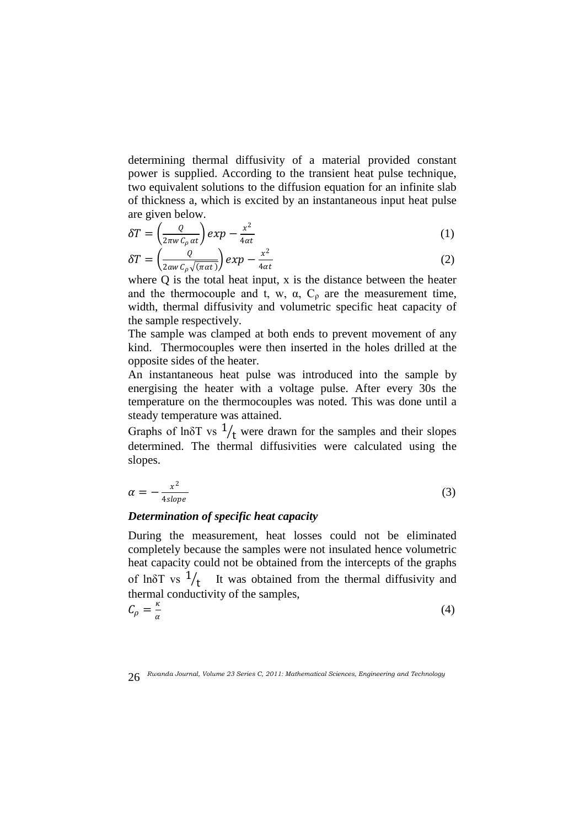determining thermal diffusivity of a material provided constant power is supplied. According to the transient heat pulse technique, two equivalent solutions to the diffusion equation for an infinite slab of thickness a, which is excited by an instantaneous input heat pulse are given below.

$$
\delta T = \left(\frac{Q}{2\pi w c_{\rho} \alpha t}\right) exp - \frac{x^2}{4\alpha t} \tag{1}
$$

$$
\delta T = \left(\frac{Q}{2aw \, C_{\rho} \sqrt{(\pi \alpha t)}}\right) exp - \frac{x^2}{4\alpha t} \tag{2}
$$

where Q is the total heat input, x is the distance between the heater and the thermocouple and t, w,  $\alpha$ ,  $C_{\rho}$  are the measurement time, width, thermal diffusivity and volumetric specific heat capacity of the sample respectively.

The sample was clamped at both ends to prevent movement of any kind. Thermocouples were then inserted in the holes drilled at the opposite sides of the heater.

An instantaneous heat pulse was introduced into the sample by energising the heater with a voltage pulse. After every 30s the temperature on the thermocouples was noted. This was done until a steady temperature was attained.

Graphs of  $\ln \delta T$  vs  $\frac{1}{t}$  were drawn for the samples and their slopes determined. The thermal diffusivities were calculated using the slopes.

$$
\alpha = -\frac{x^2}{4slope} \tag{3}
$$

#### *Determination of specific heat capacity*

During the measurement, heat losses could not be eliminated completely because the samples were not insulated hence volumetric heat capacity could not be obtained from the intercepts of the graphs of ln $\delta$ T vs  $\frac{1}{t}$  It was obtained from the thermal diffusivity and thermal conductivity of the samples,

$$
C_{\rho} = \frac{\kappa}{\alpha} \tag{4}
$$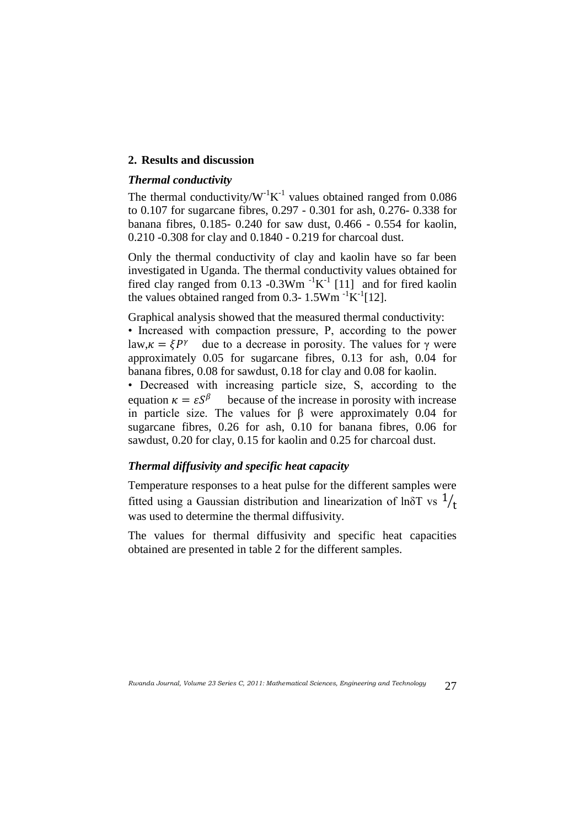### **2. Results and discussion**

#### *Thermal conductivity*

The thermal conductivity/ $W^{-1}K^{-1}$  values obtained ranged from 0.086 to 0.107 for sugarcane fibres, 0.297 - 0.301 for ash, 0.276- 0.338 for banana fibres, 0.185- 0.240 for saw dust, 0.466 - 0.554 for kaolin, 0.210 -0.308 for clay and 0.1840 - 0.219 for charcoal dust.

Only the thermal conductivity of clay and kaolin have so far been investigated in Uganda. The thermal conductivity values obtained for fired clay ranged from  $0.13 - 0.3$ Wm  $^{-1}$ K $^{-1}$  [11] and for fired kaolin the values obtained ranged from 0.3-  $1.5 \text{Wm}$   $\text{-}^{1}\text{K}$ <sup>-1</sup>[12].

Graphical analysis showed that the measured thermal conductivity:

• Increased with compaction pressure, P, according to the power law, $\kappa = \xi P^{\gamma}$  due to a decrease in porosity. The values for  $\gamma$  were approximately 0.05 for sugarcane fibres, 0.13 for ash, 0.04 for banana fibres, 0.08 for sawdust, 0.18 for clay and 0.08 for kaolin.

• Decreased with increasing particle size, S, according to the equation  $\kappa = \varepsilon S^{\beta}$  because of the increase in porosity with increase in particle size. The values for β were approximately 0.04 for sugarcane fibres, 0.26 for ash, 0.10 for banana fibres, 0.06 for sawdust, 0.20 for clay, 0.15 for kaolin and 0.25 for charcoal dust.

# *Thermal diffusivity and specific heat capacity*

Temperature responses to a heat pulse for the different samples were fitted using a Gaussian distribution and linearization of lnoT vs  $\frac{1}{t}$ was used to determine the thermal diffusivity.

The values for thermal diffusivity and specific heat capacities obtained are presented in table 2 for the different samples.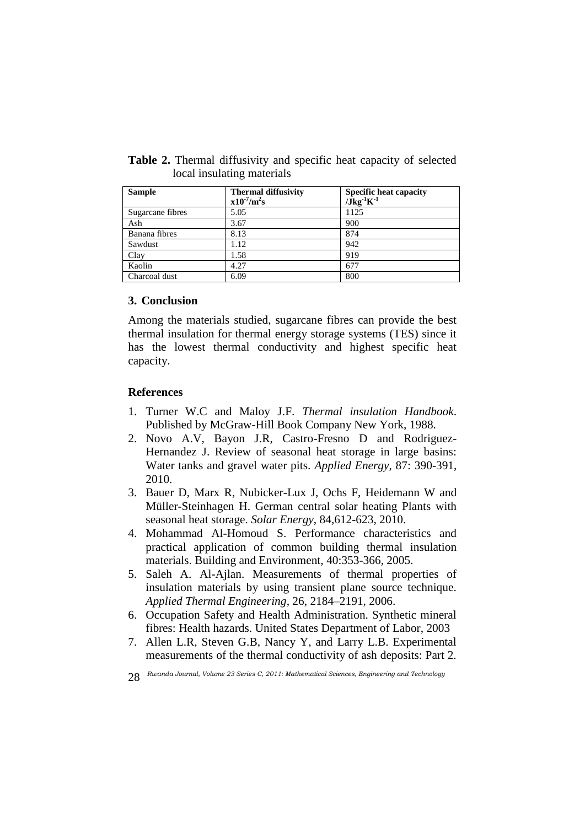| <b>Sample</b>    | <b>Thermal diffusivity</b><br>$x10^{-7}/m^2s$ | Specific heat capacity<br>$\mathbf{\hat{Jkg}}^{-1}\mathbf{K}^{-1}$ |
|------------------|-----------------------------------------------|--------------------------------------------------------------------|
| Sugarcane fibres | 5.05                                          | 1125                                                               |
| Ash              | 3.67                                          | 900                                                                |
| Banana fibres    | 8.13                                          | 874                                                                |
| Sawdust          | 1.12                                          | 942                                                                |
| Clay             | 1.58                                          | 919                                                                |
| Kaolin           | 4.27                                          | 677                                                                |
| Charcoal dust    | 6.09                                          | 800                                                                |

**Table 2.** Thermal diffusivity and specific heat capacity of selected local insulating materials

#### **3. Conclusion**

Among the materials studied, sugarcane fibres can provide the best thermal insulation for thermal energy storage systems (TES) since it has the lowest thermal conductivity and highest specific heat capacity.

#### **References**

- 1. Turner W.C and Maloy J.F. *Thermal insulation Handbook*. Published by McGraw-Hill Book Company New York, 1988.
- 2. Novo A.V, Bayon J.R, Castro-Fresno D and Rodriguez-Hernandez J. Review of seasonal heat storage in large basins: Water tanks and gravel water pits. *Applied Energy*, 87: 390-391, 2010.
- 3. Bauer D, Marx R, Nubicker-Lux J, Ochs F, Heidemann W and Müller-Steinhagen H. German central solar heating Plants with seasonal heat storage. *Solar Energy*, 84,612-623, 2010.
- 4. Mohammad Al-Homoud S. Performance characteristics and practical application of common building thermal insulation materials. Building and Environment, 40:353-366, 2005.
- 5. Saleh A. Al-Ajlan. Measurements of thermal properties of insulation materials by using transient plane source technique. *Applied Thermal Engineering*, 26, 2184–2191, 2006.
- 6. Occupation Safety and Health Administration. Synthetic mineral fibres: Health hazards. United States Department of Labor, 2003
- 7. Allen L.R, Steven G.B, Nancy Y, and Larry L.B. Experimental measurements of the thermal conductivity of ash deposits: Part 2.

*Rwanda Journal, Volume 23 Series C, 2011: Mathematical Sciences, Engineering and Technology* 28